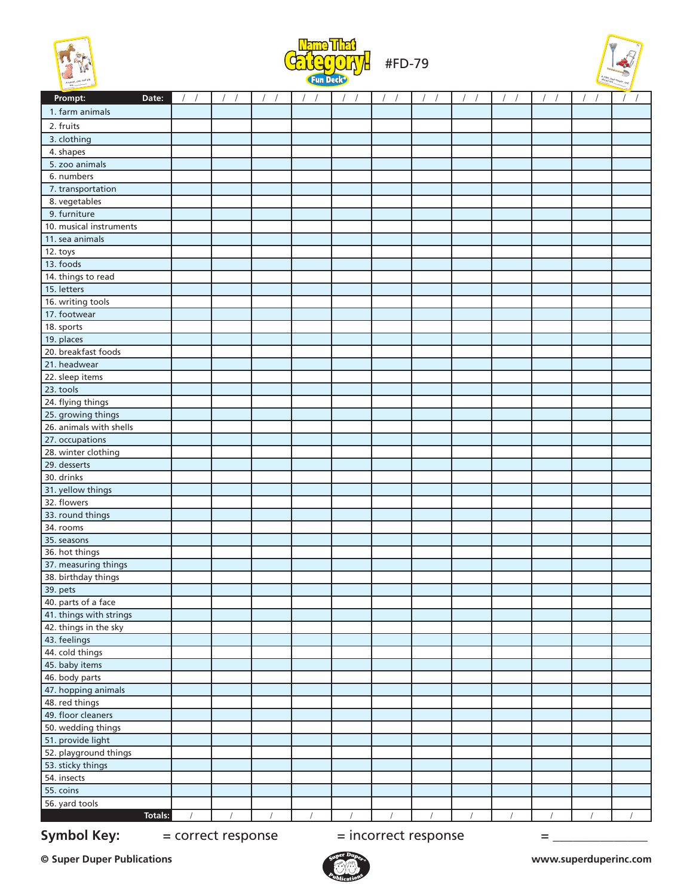





| Prompt:<br>Date:                  | $\sqrt{ }$<br>$\sqrt{2}$ | $\left  \quad \right $ | $\sqrt{ }$<br>$\sqrt{2}$ | $\sqrt{ }$<br>$\sqrt{2}$ | $\sqrt{2}$<br>$\sqrt{ }$ | $\sqrt{ }$<br>$\prime$ | $\sqrt{ }$<br>$\sqrt{2}$ | $\sqrt{ }$ | $\sqrt{ }$<br>$\sqrt{2}$ | $\sqrt{ }$ | $\sqrt{ }$<br>$\sqrt{2}$ | $\sqrt{ }$<br>$\sqrt{ }$ |
|-----------------------------------|--------------------------|------------------------|--------------------------|--------------------------|--------------------------|------------------------|--------------------------|------------|--------------------------|------------|--------------------------|--------------------------|
| 1. farm animals                   |                          |                        |                          |                          |                          |                        |                          |            |                          |            |                          |                          |
| 2. fruits                         |                          |                        |                          |                          |                          |                        |                          |            |                          |            |                          |                          |
| 3. clothing                       |                          |                        |                          |                          |                          |                        |                          |            |                          |            |                          |                          |
| 4. shapes                         |                          |                        |                          |                          |                          |                        |                          |            |                          |            |                          |                          |
| 5. zoo animals                    |                          |                        |                          |                          |                          |                        |                          |            |                          |            |                          |                          |
| 6. numbers                        |                          |                        |                          |                          |                          |                        |                          |            |                          |            |                          |                          |
| 7. transportation                 |                          |                        |                          |                          |                          |                        |                          |            |                          |            |                          |                          |
| 8. vegetables                     |                          |                        |                          |                          |                          |                        |                          |            |                          |            |                          |                          |
| 9. furniture                      |                          |                        |                          |                          |                          |                        |                          |            |                          |            |                          |                          |
| 10. musical instruments           |                          |                        |                          |                          |                          |                        |                          |            |                          |            |                          |                          |
| 11. sea animals                   |                          |                        |                          |                          |                          |                        |                          |            |                          |            |                          |                          |
| 12. toys                          |                          |                        |                          |                          |                          |                        |                          |            |                          |            |                          |                          |
| 13. foods                         |                          |                        |                          |                          |                          |                        |                          |            |                          |            |                          |                          |
| 14. things to read                |                          |                        |                          |                          |                          |                        |                          |            |                          |            |                          |                          |
| 15. letters                       |                          |                        |                          |                          |                          |                        |                          |            |                          |            |                          |                          |
| 16. writing tools                 |                          |                        |                          |                          |                          |                        |                          |            |                          |            |                          |                          |
| 17. footwear                      |                          |                        |                          |                          |                          |                        |                          |            |                          |            |                          |                          |
| 18. sports                        |                          |                        |                          |                          |                          |                        |                          |            |                          |            |                          |                          |
| 19. places                        |                          |                        |                          |                          |                          |                        |                          |            |                          |            |                          |                          |
| 20. breakfast foods               |                          |                        |                          |                          |                          |                        |                          |            |                          |            |                          |                          |
| 21. headwear                      |                          |                        |                          |                          |                          |                        |                          |            |                          |            |                          |                          |
| 22. sleep items                   |                          |                        |                          |                          |                          |                        |                          |            |                          |            |                          |                          |
| 23. tools                         |                          |                        |                          |                          |                          |                        |                          |            |                          |            |                          |                          |
| 24. flying things                 |                          |                        |                          |                          |                          |                        |                          |            |                          |            |                          |                          |
| 25. growing things                |                          |                        |                          |                          |                          |                        |                          |            |                          |            |                          |                          |
| 26. animals with shells           |                          |                        |                          |                          |                          |                        |                          |            |                          |            |                          |                          |
| 27. occupations                   |                          |                        |                          |                          |                          |                        |                          |            |                          |            |                          |                          |
| 28. winter clothing               |                          |                        |                          |                          |                          |                        |                          |            |                          |            |                          |                          |
| 29. desserts                      |                          |                        |                          |                          |                          |                        |                          |            |                          |            |                          |                          |
| 30. drinks                        |                          |                        |                          |                          |                          |                        |                          |            |                          |            |                          |                          |
| 31. yellow things                 |                          |                        |                          |                          |                          |                        |                          |            |                          |            |                          |                          |
| 32. flowers                       |                          |                        |                          |                          |                          |                        |                          |            |                          |            |                          |                          |
| 33. round things                  |                          |                        |                          |                          |                          |                        |                          |            |                          |            |                          |                          |
| 34. rooms                         |                          |                        |                          |                          |                          |                        |                          |            |                          |            |                          |                          |
| 35. seasons                       |                          |                        |                          |                          |                          |                        |                          |            |                          |            |                          |                          |
| 36. hot things                    |                          |                        |                          |                          |                          |                        |                          |            |                          |            |                          |                          |
| 37. measuring things              |                          |                        |                          |                          |                          |                        |                          |            |                          |            |                          |                          |
| 38. birthday things               |                          |                        |                          |                          |                          |                        |                          |            |                          |            |                          |                          |
| 39. pets                          |                          |                        |                          |                          |                          |                        |                          |            |                          |            |                          |                          |
| 40. parts of a face               |                          |                        |                          |                          |                          |                        |                          |            |                          |            |                          |                          |
| 41. things with strings           |                          |                        |                          |                          |                          |                        |                          |            |                          |            |                          |                          |
| 42. things in the sky             |                          |                        |                          |                          |                          |                        |                          |            |                          |            |                          |                          |
| 43. feelings                      |                          |                        |                          |                          |                          |                        |                          |            |                          |            |                          |                          |
| 44. cold things<br>45. baby items |                          |                        |                          |                          |                          |                        |                          |            |                          |            |                          |                          |
| 46. body parts                    |                          |                        |                          |                          |                          |                        |                          |            |                          |            |                          |                          |
| 47. hopping animals               |                          |                        |                          |                          |                          |                        |                          |            |                          |            |                          |                          |
| 48. red things                    |                          |                        |                          |                          |                          |                        |                          |            |                          |            |                          |                          |
| 49. floor cleaners                |                          |                        |                          |                          |                          |                        |                          |            |                          |            |                          |                          |
| 50. wedding things                |                          |                        |                          |                          |                          |                        |                          |            |                          |            |                          |                          |
| 51. provide light                 |                          |                        |                          |                          |                          |                        |                          |            |                          |            |                          |                          |
| 52. playground things             |                          |                        |                          |                          |                          |                        |                          |            |                          |            |                          |                          |
| 53. sticky things                 |                          |                        |                          |                          |                          |                        |                          |            |                          |            |                          |                          |
| 54. insects                       |                          |                        |                          |                          |                          |                        |                          |            |                          |            |                          |                          |
| 55. coins                         |                          |                        |                          |                          |                          |                        |                          |            |                          |            |                          |                          |
| 56. yard tools                    |                          |                        |                          |                          |                          |                        |                          |            |                          |            |                          |                          |
| Totals:                           |                          | $\prime$               | $\sqrt{ }$               | $\sqrt{ }$               |                          |                        |                          |            |                          |            | $\sqrt{ }$               | $\sqrt{ }$               |

**Symbol Key:**  $=$  correct response  $=$  incorrect response  $=$